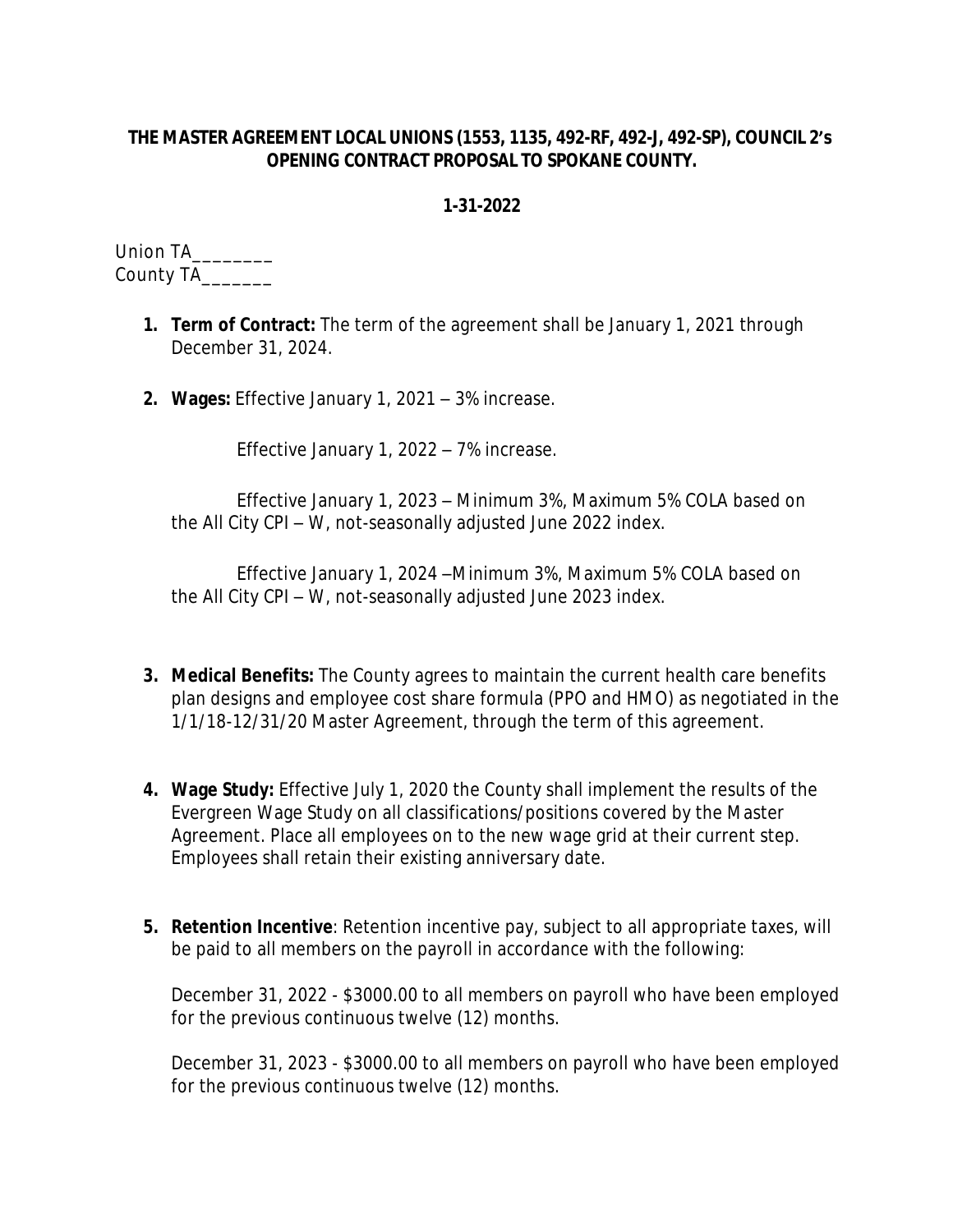## **THE MASTER AGREEMENT LOCAL UNIONS (1553, 1135, 492-RF, 492-J, 492-SP), COUNCIL 2's OPENING CONTRACT PROPOSAL TO SPOKANE COUNTY.**

## **1-31-2022**

Union TA\_\_\_\_\_\_\_\_\_ County TA\_\_\_\_\_\_\_

- **1. Term of Contract:** The term of the agreement shall be January 1, 2021 through December 31, 2024.
- **2. Wages:** Effective January 1, 2021 3% increase.

Effective January 1, 2022 – 7% increase.

Effective January 1, 2023 – Minimum 3%, Maximum 5% COLA based on the All City CPI – W, not-seasonally adjusted June 2022 index.

Effective January 1, 2024 –Minimum 3%, Maximum 5% COLA based on the All City CPI – W, not-seasonally adjusted June 2023 index.

- **3. Medical Benefits:** The County agrees to maintain the current health care benefits plan designs and employee cost share formula (PPO and HMO) as negotiated in the 1/1/18-12/31/20 Master Agreement, through the term of this agreement.
- **4. Wage Study:** Effective July 1, 2020 the County shall implement the results of the Evergreen Wage Study on all classifications/positions covered by the Master Agreement. Place all employees on to the new wage grid at their current step. Employees shall retain their existing anniversary date.
- **5. Retention Incentive**: Retention incentive pay, subject to all appropriate taxes, will be paid to all members on the payroll in accordance with the following:

December 31, 2022 - \$3000.00 to all members on payroll who have been employed for the previous continuous twelve (12) months.

December 31, 2023 - \$3000.00 to all members on payroll who have been employed for the previous continuous twelve (12) months.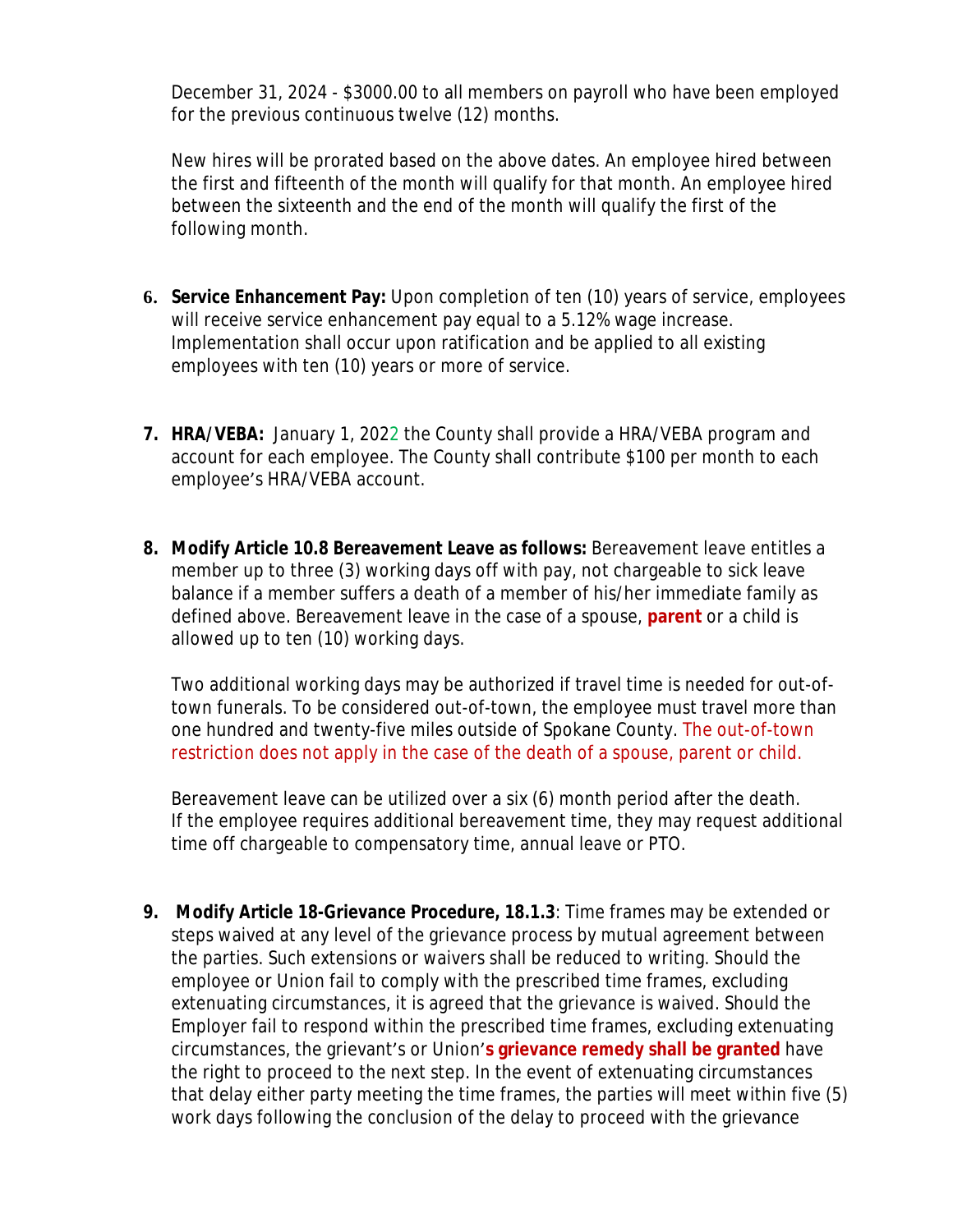December 31, 2024 - \$3000.00 to all members on payroll who have been employed for the previous continuous twelve (12) months.

New hires will be prorated based on the above dates. An employee hired between the first and fifteenth of the month will qualify for that month. An employee hired between the sixteenth and the end of the month will qualify the first of the following month.

- **6. Service Enhancement Pay:** Upon completion of ten (10) years of service, employees will receive service enhancement pay equal to a 5.12% wage increase. Implementation shall occur upon ratification and be applied to all existing employees with ten (10) years or more of service.
- **7. HRA/VEBA:** January 1, 2022 the County shall provide a HRA/VEBA program and account for each employee. The County shall contribute \$100 per month to each employee's HRA/VEBA account.
- **8. Modify Article 10.8 Bereavement Leave as follows:** Bereavement leave entitles a member up to three (3) working days off with pay, not chargeable to sick leave balance if a member suffers a death of a member of his/her immediate family as defined above. Bereavement leave in the case of a spouse, **parent** or a child is allowed up to ten (10) working days.

Two additional working days may be authorized if travel time is needed for out-oftown funerals. To be considered out-of-town, the employee must travel more than one hundred and twenty-five miles outside of Spokane County. The out-of-town restriction does not apply in the case of the death of a spouse, parent or child.

Bereavement leave can be utilized over a six (6) month period after the death. If the employee requires additional bereavement time, they may request additional time off chargeable to compensatory time, annual leave or PTO.

**9. Modify Article 18-Grievance Procedure, 18.1.3**: Time frames may be extended or steps waived at any level of the grievance process by mutual agreement between the parties. Such extensions or waivers shall be reduced to writing. Should the employee or Union fail to comply with the prescribed time frames, excluding extenuating circumstances, it is agreed that the grievance is waived. Should the Employer fail to respond within the prescribed time frames, excluding extenuating circumstances, the grievant's or Union'**s grievance remedy shall be granted** have the right to proceed to the next step. In the event of extenuating circumstances that delay either party meeting the time frames, the parties will meet within five (5) work days following the conclusion of the delay to proceed with the grievance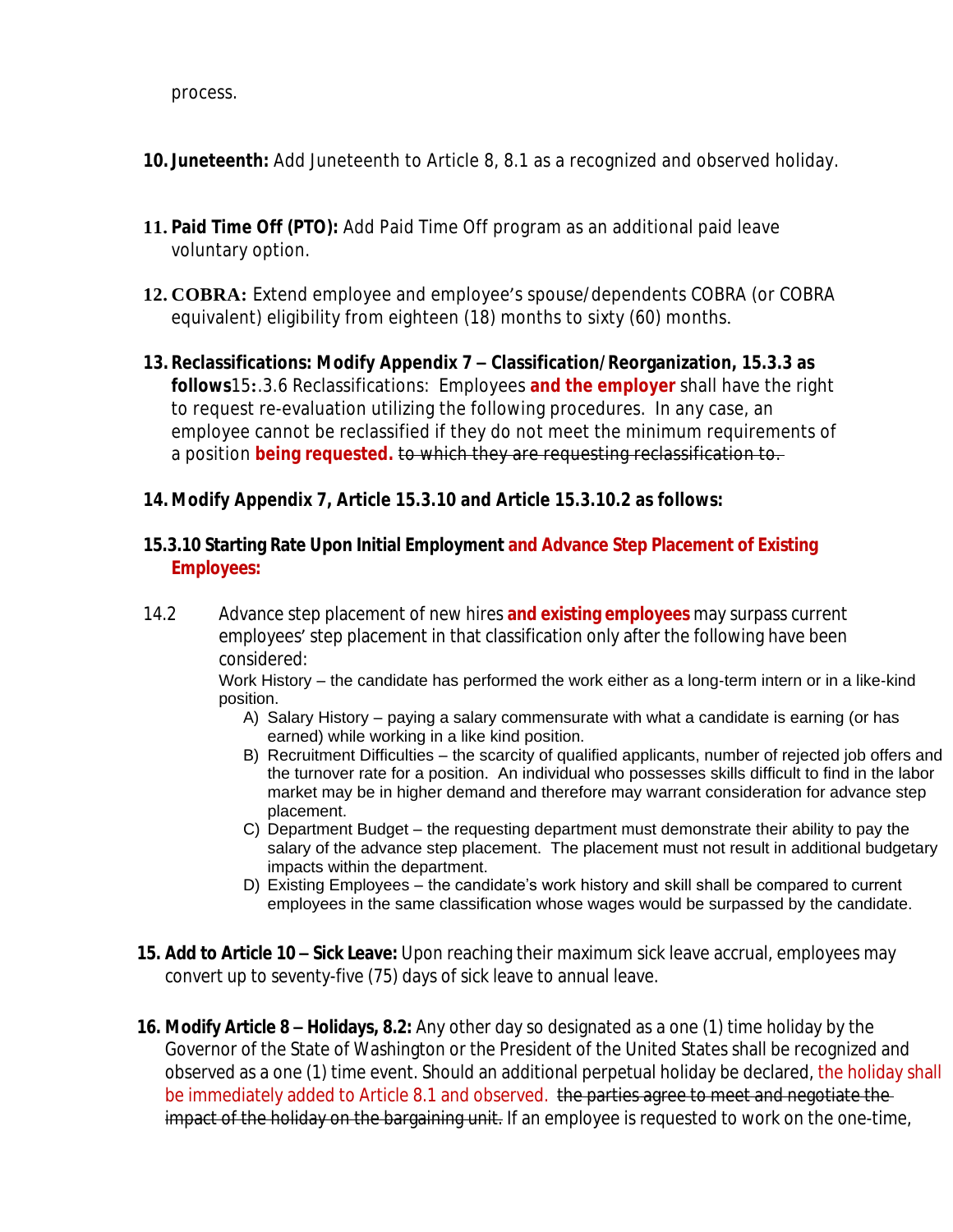process.

- **10. Juneteenth:** Add Juneteenth to Article 8, 8.1 as a recognized and observed holiday.
- **11. Paid Time Off (PTO):** Add Paid Time Off program as an additional paid leave voluntary option.
- **12. COBRA:** Extend employee and employee's spouse/dependents COBRA (or COBRA equivalent) eligibility from eighteen (18) months to sixty (60) months.
- **13. Reclassifications: Modify Appendix 7 – Classification/Reorganization, 15.3.3 as follows**15**:**.3.6 Reclassifications: Employees **and the employer** shall have the right to request re-evaluation utilizing the following procedures. In any case, an employee cannot be reclassified if they do not meet the minimum requirements of a position **being requested.** to which they are requesting reclassification to.

## **14. Modify Appendix 7, Article 15.3.10 and Article 15.3.10.2 as follows:**

## **15.3.10 Starting Rate Upon Initial Employment and Advance Step Placement of Existing Employees:**

14.2 Advance step placement of new hires **and existing employees** may surpass current employees' step placement in that classification only after the following have been considered:

Work History – the candidate has performed the work either as a long-term intern or in a like-kind position.

- A) Salary History paying a salary commensurate with what a candidate is earning (or has earned) while working in a like kind position.
- B) Recruitment Difficulties the scarcity of qualified applicants, number of rejected job offers and the turnover rate for a position. An individual who possesses skills difficult to find in the labor market may be in higher demand and therefore may warrant consideration for advance step placement.
- C) Department Budget the requesting department must demonstrate their ability to pay the salary of the advance step placement. The placement must not result in additional budgetary impacts within the department.
- D) Existing Employees the candidate's work history and skill shall be compared to current employees in the same classification whose wages would be surpassed by the candidate.
- **15. Add to Article 10 – Sick Leave:** Upon reaching their maximum sick leave accrual, employees may convert up to seventy-five (75) days of sick leave to annual leave.
- **16. Modify Article 8 – Holidays, 8.2:** Any other day so designated as a one (1) time holiday by the Governor of the State of Washington or the President of the United States shall be recognized and observed as a one (1) time event. Should an additional perpetual holiday be declared, the holiday shall be immediately added to Article 8.1 and observed. the parties agree to meet and negotiate the impact of the holiday on the bargaining unit. If an employee is requested to work on the one-time,